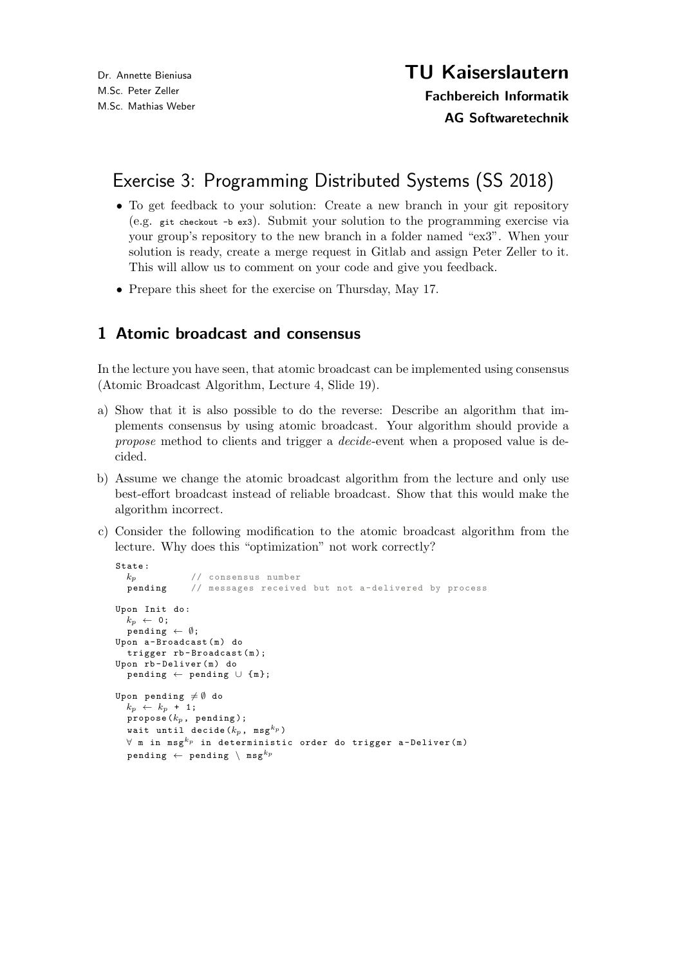## Exercise 3: Programming Distributed Systems (SS 2018)

- To get feedback to your solution: Create a new branch in your git repository (e.g. git checkout -b ex3). Submit your solution to the programming exercise via your group's repository to the new branch in a folder named "ex3". When your solution is ready, create a merge request in Gitlab and assign Peter Zeller to it. This will allow us to comment on your code and give you feedback.
- Prepare this sheet for the exercise on Thursday, May 17.

## 1 Atomic broadcast and consensus

In the lecture you have seen, that atomic broadcast can be implemented using consensus (Atomic Broadcast Algorithm, Lecture 4, Slide 19).

- a) Show that it is also possible to do the reverse: Describe an algorithm that implements consensus by using atomic broadcast. Your algorithm should provide a propose method to clients and trigger a decide-event when a proposed value is decided.
- b) Assume we change the atomic broadcast algorithm from the lecture and only use best-effort broadcast instead of reliable broadcast. Show that this would make the algorithm incorrect.
- c) Consider the following modification to the atomic broadcast algorithm from the lecture. Why does this "optimization" not work correctly?

```
\begin{array}{c} {\tt State:} \\ k_p \end{array}// consensus number
  pending // messages received but not a- delivered by process
Upon Init do :
  k_p \leftarrow 0;pending \leftarrow \emptyset;Upon a-Broadcast (m) do
  trigger rb-Broadcast(m);
Upon rb - Deliver (m) do
  pending \leftarrow pending \cup \{m\};Upon pending \neq \emptyset do
  k_p \leftarrow k_p + 1;propose (k_p, pending);
  wait until decide (k_p, msg^{k_p})
  \forall m in msg^{k_p} in deterministic order do trigger a-Deliver(m)
  pending \leftarrow pending \setminus msg<sup>kp</sup>
```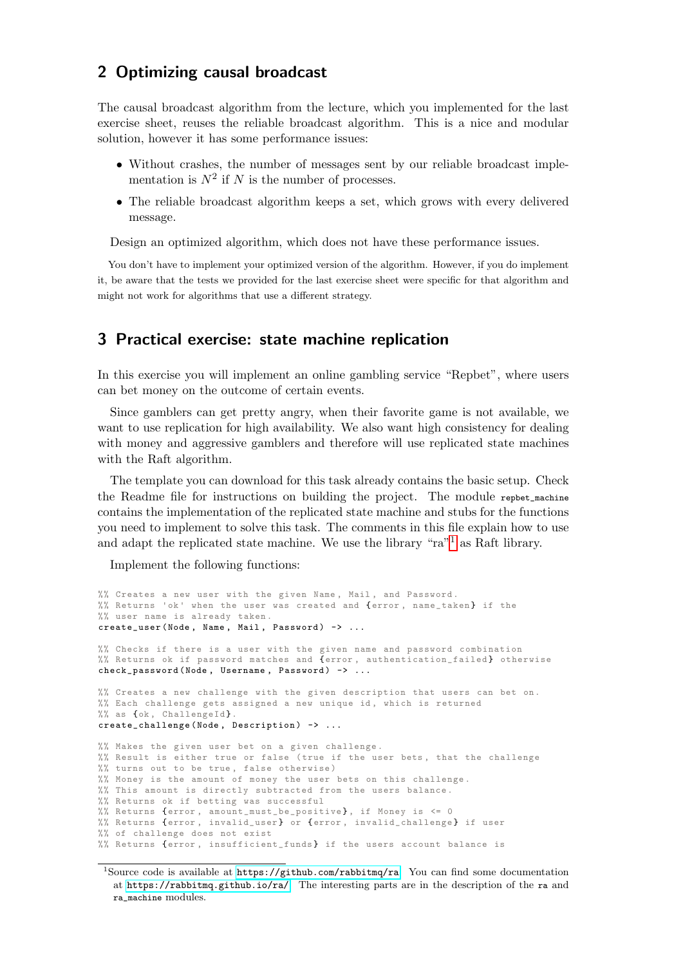## 2 Optimizing causal broadcast

The causal broadcast algorithm from the lecture, which you implemented for the last exercise sheet, reuses the reliable broadcast algorithm. This is a nice and modular solution, however it has some performance issues:

- Without crashes, the number of messages sent by our reliable broadcast implementation is  $N^2$  if N is the number of processes.
- The reliable broadcast algorithm keeps a set, which grows with every delivered message.

Design an optimized algorithm, which does not have these performance issues.

You don't have to implement your optimized version of the algorithm. However, if you do implement it, be aware that the tests we provided for the last exercise sheet were specific for that algorithm and might not work for algorithms that use a different strategy.

## 3 Practical exercise: state machine replication

In this exercise you will implement an online gambling service "Repbet", where users can bet money on the outcome of certain events.

Since gamblers can get pretty angry, when their favorite game is not available, we want to use replication for high availability. We also want high consistency for dealing with money and aggressive gamblers and therefore will use replicated state machines with the Raft algorithm.

The template you can download for this task already contains the basic setup. Check the Readme file for instructions on building the project. The module repbet\_machine contains the implementation of the replicated state machine and stubs for the functions you need to implement to solve this task. The comments in this file explain how to use and adapt the replicated state machine. We use the library "ra"[1](#page-1-0) as Raft library.

Implement the following functions:

```
%% Creates a new user with the given Name , Mail , and Password .
%% Returns 'ok ' when the user was created and {error , name_taken } if the
%% user name is already taken .
create_user (Node, Name, Mail, Password) -> ...
%% Checks if there is a user with the given name and password combination
%% Returns ok if password matches and {error, authentication_failed} otherwise
check_{p} assword (Node, Username, Password) -> ...
%% Creates a new challenge with the given description that users can bet on.
%% Each challenge gets assigned a new unique id, which is returned
%% as {ok, ChallengeId}.
create_challenge (Node, Description) -> ...
%% Makes the given user bet on a given challenge .
%% Result is either true or false ( true if the user bets , that the challenge
%% turns out to be true , false otherwise )
%% Money is the amount of money the user bets on this challenge .
%% This amount is directly subtracted from the users balance .
%% Returns ok if betting was successful
%% Returns {error, amount_must_be_positive}, if Money is \leq 0%% Returns {error, invalid_user} or {error, invalid_challenge} if user
%% of challenge does not exist
%% Returns {error , insufficient_funds } if the users account balance is
```
<span id="page-1-0"></span><sup>&</sup>lt;sup>1</sup>Source code is available at  $\frac{https://github.com/rabbitmq/ra.}{}$  $\frac{https://github.com/rabbitmq/ra.}{}$  $\frac{https://github.com/rabbitmq/ra.}{}$  You can find some documentation at <https://rabbitmq.github.io/ra/>. The interesting parts are in the description of the ra and ra\_machine modules.